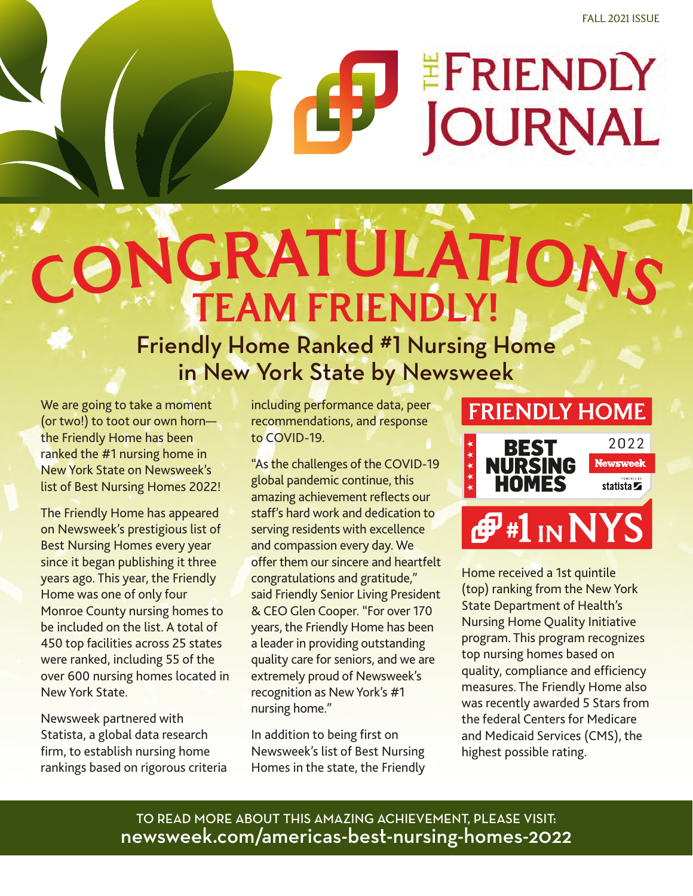# EFRIENDLY **JOURNAL**

# CONGRATULATIO TEAM FRIENDLY!

## Friendly Home Ranked #1 Nursing Home in New York State by Newsweek

We are going to take a moment (or two!) to toot our own horn the Friendly Home has been ranked the #1 nursing home in New York State on Newsweek's list of Best Nursing Homes 2022!

The Friendly Home has appeared on Newsweek's prestigious list of Best Nursing Homes every year since it began publishing it three years ago. This year, the Friendly Home was one of only four Monroe County nursing homes to be included on the list. A total of 450 top facilities across 25 states were ranked, including 55 of the over 600 nursing homes located in New York State.

Newsweek partnered with Statista, a global data research firm, to establish nursing home rankings based on rigorous criteria including performance data, peer recommendations, and response to COVID-19.

"As the challenges of the COVID-19 global pandemic continue, this amazing achievement reflects our staff's hard work and dedication to serving residents with excellence and compassion every day. We offer them our sincere and heartfelt congratulations and gratitude," said Friendly Senior Living President & CEO Glen Cooper. "For over 170 years, the Friendly Home has been a leader in providing outstanding quality care for seniors, and we are extremely proud of Newsweek's recognition as New York's #1 nursing home."

In addition to being first on Newsweek's list of Best Nursing Homes in the state, the Friendly

## **FRIENDLY HOME** 2022 **BEST Newsweek NURSING HOMES**  $statista \blacktriangleright$ statista $\blacktriangleright$ *⊕***#1** IN NYS

Home received a 1st quintile (top) ranking from the New York State Department of Health's Nursing Home Quality Initiative program. This program recognizes top nursing homes based on quality, compliance and efficiency measures. The Friendly Home also was recently awarded 5 Stars from the federal Centers for Medicare and Medicaid Services (CMS), the highest possible rating.

TO READ MORE ABOUT THIS AMAZING ACHIEVEMENT, PLEASE VISIT: newsweek.com/americas-best-nursing-homes-2022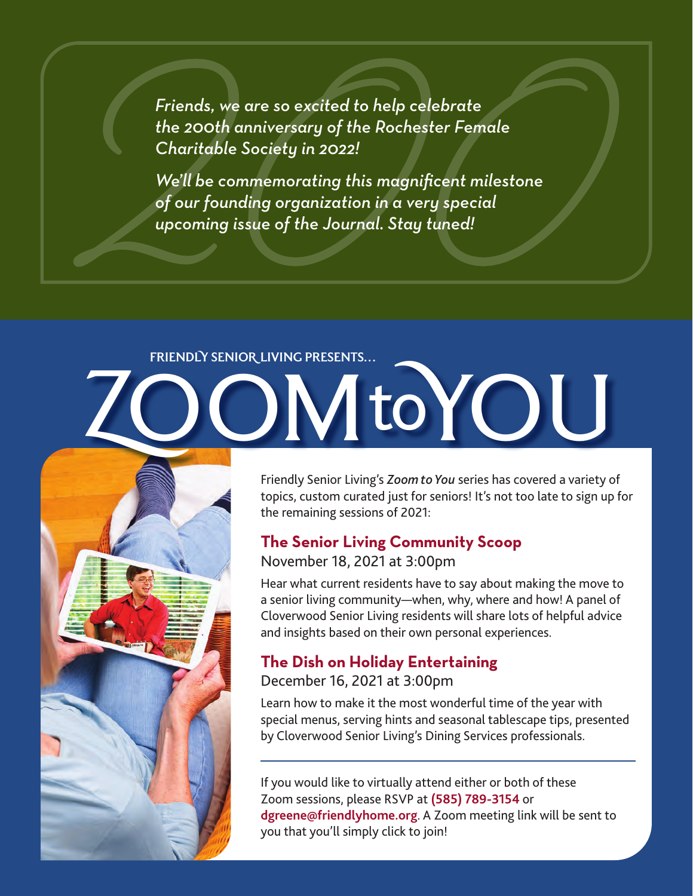*Friends, we are so excited to help celebrate the 200th anniversary of the Rochester Female Charitable Society in 2022!* 

*We'll be commemorating this magnificent milestone of our founding organization in a very special upcoming issue of the Journal. Stay tuned!*

# FRIENDLY SENIOR LIVING PRESENTS…

Friendly Senior Living's *Zoom to You* series has covered a variety of topics, custom curated just for seniors! It's not too late to sign up for the remaining sessions of 2021:

## **The Senior Living Community Scoop**

## November 18, 2021 at 3:00pm

Hear what current residents have to say about making the move to a senior living community—when, why, where and how! A panel of Cloverwood Senior Living residents will share lots of helpful advice and insights based on their own personal experiences.

## **The Dish on Holiday Entertaining**

## December 16, 2021 at 3:00pm

Learn how to make it the most wonderful time of the year with special menus, serving hints and seasonal tablescape tips, presented by Cloverwood Senior Living's Dining Services professionals.

If you would like to virtually attend either or both of these Zoom sessions, please RSVP at **(585) 789-3154** or **dgreene@friendlyhome.org**. A Zoom meeting link will be sent to you that you'll simply click to join!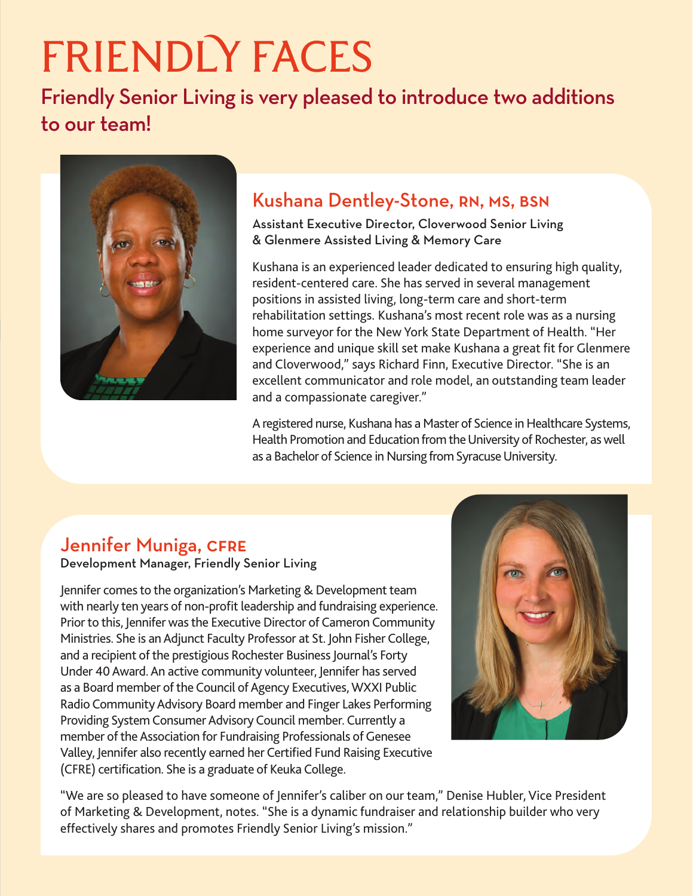# FRIENDLY FACES

Friendly Senior Living is very pleased to introduce two additions to our team!



## Kushana Dentley-Stone, RN, MS, BSN

Assistant Executive Director, Cloverwood Senior Living & Glenmere Assisted Living & Memory Care

Kushana is an experienced leader dedicated to ensuring high quality, resident-centered care. She has served in several management positions in assisted living, long-term care and short-term rehabilitation settings. Kushana's most recent role was as a nursing home surveyor for the New York State Department of Health. "Her experience and unique skill set make Kushana a great fit for Glenmere and Cloverwood," says Richard Finn, Executive Director. "She is an excellent communicator and role model, an outstanding team leader and a compassionate caregiver."

A registered nurse, Kushana has a Master of Science in Healthcare Systems, Health Promotion and Education from the University of Rochester, as well as a Bachelor of Science in Nursing from Syracuse University.

## Jennifer Muniga, CFRE

Development Manager, Friendly Senior Living

Jennifer comes to the organization's Marketing & Development team with nearly ten years of non-profit leadership and fundraising experience. Prior to this, Jennifer was the Executive Director of Cameron Community Ministries. She is an Adjunct Faculty Professor at St. John Fisher College, and a recipient of the prestigious Rochester Business Journal's Forty Under 40 Award. An active community volunteer, Jennifer has served as a Board member of the Council of Agency Executives, WXXI Public Radio Community Advisory Board member and Finger Lakes Performing Providing System Consumer Advisory Council member. Currently a member of the Association for Fundraising Professionals of Genesee Valley, Jennifer also recently earned her Certified Fund Raising Executive (CFRE) certification. She is a graduate of Keuka College.



"We are so pleased to have someone of Jennifer's caliber on our team," Denise Hubler, Vice President of Marketing & Development, notes. "She is a dynamic fundraiser and relationship builder who very effectively shares and promotes Friendly Senior Living's mission."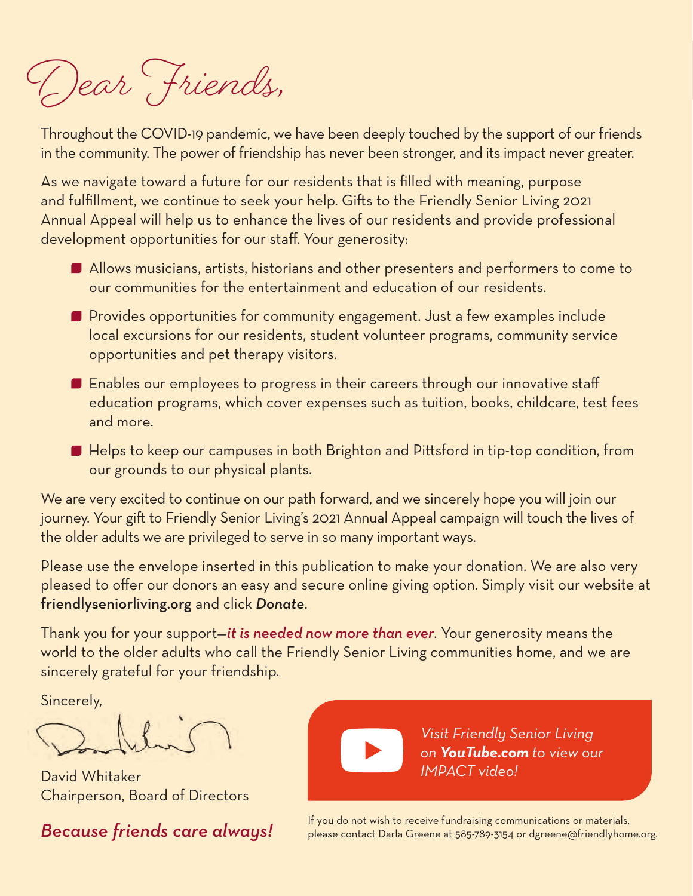Dear Friends,

Throughout the COVID-19 pandemic, we have been deeply touched by the support of our friends in the community. The power of friendship has never been stronger, and its impact never greater.

As we navigate toward a future for our residents that is filled with meaning, purpose and fulfillment, we continue to seek your help. Gifts to the Friendly Senior Living 2021 Annual Appeal will help us to enhance the lives of our residents and provide professional development opportunities for our staff. Your generosity:

- Allows musicians, artists, historians and other presenters and performers to come to our communities for the entertainment and education of our residents.
- Provides opportunities for community engagement. Just a few examples include local excursions for our residents, student volunteer programs, community service opportunities and pet therapy visitors.
- $\blacksquare$  Enables our employees to progress in their careers through our innovative staff education programs, which cover expenses such as tuition, books, childcare, test fees and more.
- Helps to keep our campuses in both Brighton and Pittsford in tip-top condition, from our grounds to our physical plants.

We are very excited to continue on our path forward, and we sincerely hope you will join our journey. Your gift to Friendly Senior Living's 2021 Annual Appeal campaign will touch the lives of the older adults we are privileged to serve in so many important ways.

Please use the envelope inserted in this publication to make your donation. We are also very pleased to offer our donors an easy and secure online giving option. Simply visit our website at friendlyseniorliving.org and click *Donate*.

Thank you for your support—*it is needed now more than ever*. Your generosity means the world to the older adults who call the Friendly Senior Living communities home, and we are sincerely grateful for your friendship.

Sincerely,

David Whitaker Chairperson, Board of Directors



*Visit Friendly Senior Living on YouTube.com to view our IMPACT video!*

If you do not wish to receive fundraising communications or materials,<br>Because friends care always! Please contact Darla Greene at 585-789-3154 or dgreene@friendlyhome.org.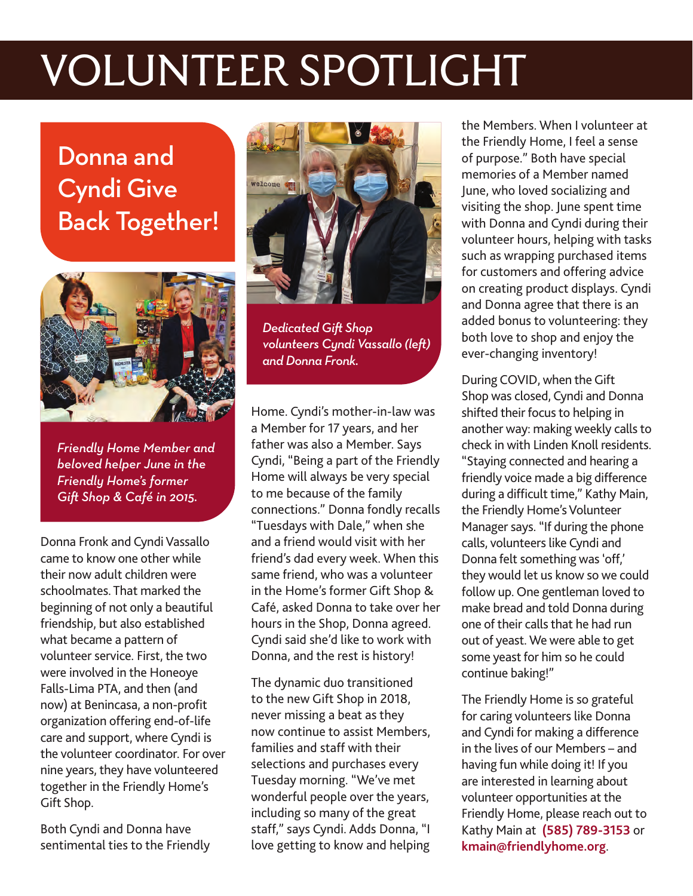## VOLUNTEER SPOTLIGHT

## Donna and Cyndi Give Back Together!



*Friendly Home Member and beloved helper June in the Friendly Home's former Gift Shop & Café in 2015.*

Donna Fronk and Cyndi Vassallo came to know one other while their now adult children were schoolmates. That marked the beginning of not only a beautiful friendship, but also established what became a pattern of volunteer service. First, the two were involved in the Honeoye Falls-Lima PTA, and then (and now) at Benincasa, a non-profit organization offering end-of-life care and support, where Cyndi is the volunteer coordinator. For over nine years, they have volunteered together in the Friendly Home's Gift Shop.

Both Cyndi and Donna have sentimental ties to the Friendly



*Dedicated Gift Shop volunteers Cyndi Vassallo (left) and Donna Fronk.*

Home. Cyndi's mother-in-law was a Member for 17 years, and her father was also a Member. Says Cyndi, "Being a part of the Friendly Home will always be very special to me because of the family connections." Donna fondly recalls "Tuesdays with Dale," when she and a friend would visit with her friend's dad every week. When this same friend, who was a volunteer in the Home's former Gift Shop & Café, asked Donna to take over her hours in the Shop, Donna agreed. Cyndi said she'd like to work with Donna, and the rest is history!

The dynamic duo transitioned to the new Gift Shop in 2018, never missing a beat as they now continue to assist Members, families and staff with their selections and purchases every Tuesday morning. "We've met wonderful people over the years, including so many of the great staff," says Cyndi. Adds Donna, "I love getting to know and helping the Members. When I volunteer at the Friendly Home, I feel a sense of purpose." Both have special memories of a Member named June, who loved socializing and visiting the shop. June spent time with Donna and Cyndi during their volunteer hours, helping with tasks such as wrapping purchased items for customers and offering advice on creating product displays. Cyndi and Donna agree that there is an added bonus to volunteering: they both love to shop and enjoy the ever-changing inventory!

During COVID, when the Gift Shop was closed, Cyndi and Donna shifted their focus to helping in another way: making weekly calls to check in with Linden Knoll residents. "Staying connected and hearing a friendly voice made a big difference during a difficult time," Kathy Main, the Friendly Home's Volunteer Manager says. "If during the phone calls, volunteers like Cyndi and Donna felt something was 'off,' they would let us know so we could follow up. One gentleman loved to make bread and told Donna during one of their calls that he had run out of yeast. We were able to get some yeast for him so he could continue baking!"

The Friendly Home is so grateful for caring volunteers like Donna and Cyndi for making a difference in the lives of our Members – and having fun while doing it! If you are interested in learning about volunteer opportunities at the Friendly Home, please reach out to Kathy Main at **(585) 789-3153** or **kmain@friendlyhome.org**.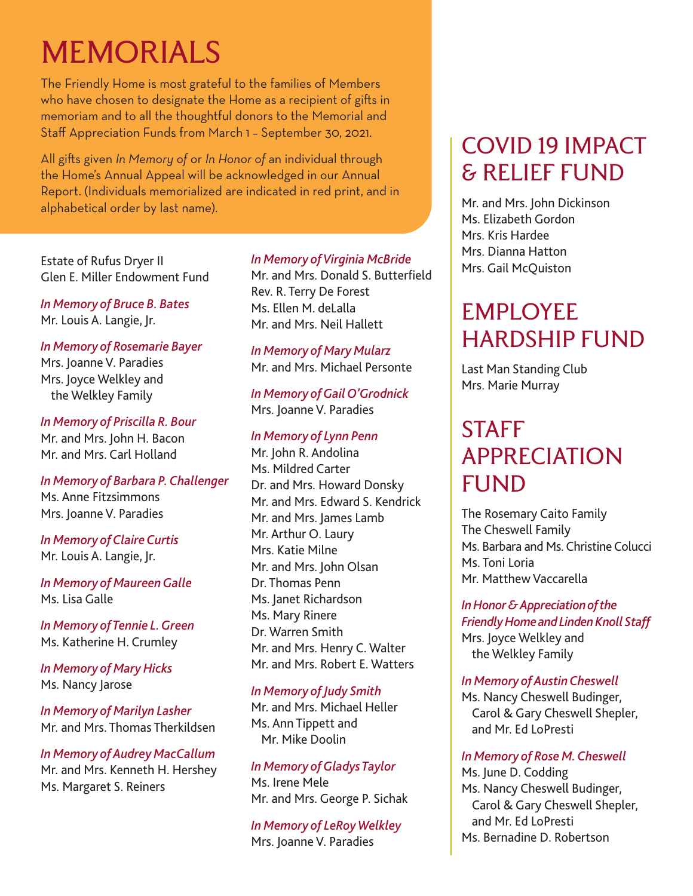## MEMORIALS

The Friendly Home is most grateful to the families of Members who have chosen to designate the Home as a recipient of gifts in memoriam and to all the thoughtful donors to the Memorial and Staff Appreciation Funds from March 1 – September 30, 2021.

All gifts given *In Memory of* or *In Honor of* an individual through the Home's Annual Appeal will be acknowledged in our Annual Report. (Individuals memorialized are indicated in red print, and in alphabetical order by last name).

Estate of Rufus Dryer II Glen E. Miller Endowment Fund

*In Memory of Bruce B. Bates* Mr. Louis A. Langie, Jr.

*In Memory of Rosemarie Bayer* Mrs. Joanne V. Paradies Mrs. Joyce Welkley and the Welkley Family

*In Memory of Priscilla R. Bour* Mr. and Mrs. John H. Bacon Mr. and Mrs. Carl Holland

*In Memory of Barbara P. Challenger* Ms. Anne Fitzsimmons Mrs. Joanne V. Paradies

*In Memory of Claire Curtis* Mr. Louis A. Langie, Jr.

*In Memory of Maureen Galle* Ms. Lisa Galle

*In Memory of Tennie L. Green* Ms. Katherine H. Crumley

*In Memory of Mary Hicks* Ms. Nancy Jarose

*In Memory of Marilyn Lasher* Mr. and Mrs. Thomas Therkildsen

*In Memory of Audrey MacCallum* Mr. and Mrs. Kenneth H. Hershey Ms. Margaret S. Reiners

## *In Memory of Virginia McBride*

Mr. and Mrs. Donald S. Butterfield Rev. R. Terry De Forest Ms. Ellen M. del alla Mr. and Mrs. Neil Hallett

*In Memory of Mary Mularz* Mr. and Mrs. Michael Personte

*In Memory of Gail O'Grodnick* Mrs. Joanne V. Paradies

## *In Memory of Lynn Penn*

Mr. John R. Andolina Ms. Mildred Carter Dr. and Mrs. Howard Donsky Mr. and Mrs. Edward S. Kendrick Mr. and Mrs. James Lamb Mr. Arthur O. Laury Mrs. Katie Milne Mr. and Mrs. John Olsan Dr. Thomas Penn Ms. Janet Richardson Ms. Mary Rinere Dr. Warren Smith Mr. and Mrs. Henry C. Walter Mr. and Mrs. Robert E. Watters

### *In Memory of Judy Smith*

Mr. and Mrs. Michael Heller Ms. Ann Tippett and Mr. Mike Doolin

*In Memory of Gladys Taylor* Ms. Irene Mele Mr. and Mrs. George P. Sichak

*In Memory of LeRoy Welkley* Mrs. Joanne V. Paradies

## COVID 19 IMPACT & RELIEF FUND

Mr. and Mrs. John Dickinson Ms. Elizabeth Gordon Mrs. Kris Hardee Mrs. Dianna Hatton Mrs. Gail McQuiston

## EMPLOYEE HARDSHIP FUND

Last Man Standing Club Mrs. Marie Murray

## **STAFF** APPRECIATION FUND

The Rosemary Caito Family The Cheswell Family Ms. Barbara and Ms. Christine Colucci Ms. Toni Loria Mr. Matthew Vaccarella

*In Honor & Appreciation of the Friendly Home and Linden Knoll Staff*  Mrs. Joyce Welkley and the Welkley Family

## *In Memory of Austin Cheswell*

Ms. Nancy Cheswell Budinger, Carol & Gary Cheswell Shepler, and Mr. Ed LoPresti

## *In Memory of Rose M. Cheswell*

Ms. June D. Codding Ms. Nancy Cheswell Budinger, Carol & Gary Cheswell Shepler, and Mr. Ed LoPresti Ms. Bernadine D. Robertson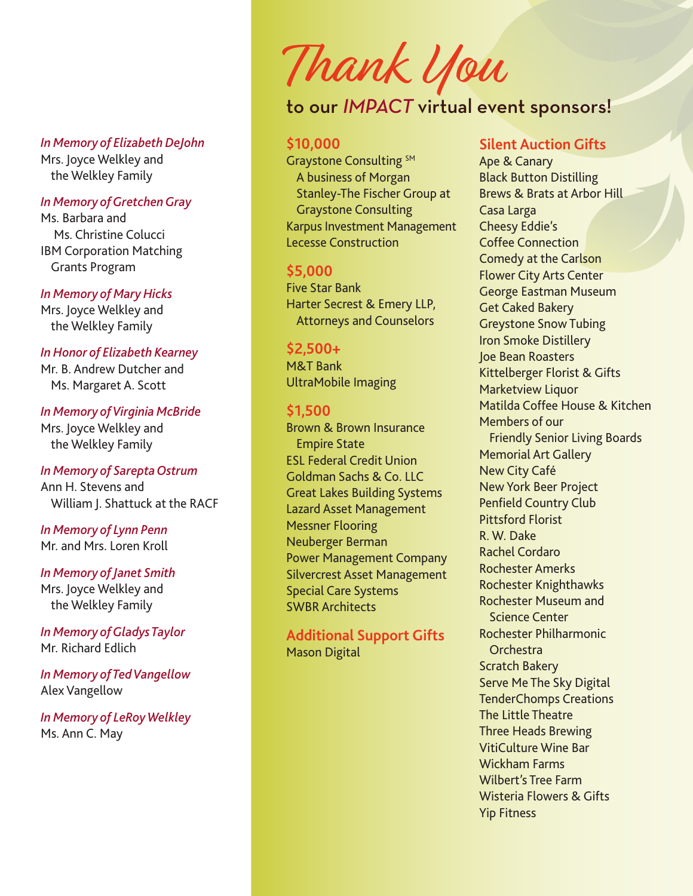*In Memory of Elizabeth DeJohn*  Mrs. Joyce Welkley and the Welkley Family

### *In Memory of Gretchen Gray*

Ms. Barbara and Ms. Christine Colucci IBM Corporation Matching Grants Program

*In Memory of Mary Hicks* 

Mrs. Joyce Welkley and the Welkley Family

#### *In Honor of Elizabeth Kearney*

Mr. B. Andrew Dutcher and Ms. Margaret A. Scott

## *In Memory of Virginia McBride*

Mrs. Joyce Welkley and the Welkley Family

#### *In Memory of Sarepta Ostrum*

Ann H. Stevens and William J. Shattuck at the RACF

#### *In Memory of Lynn Penn*  Mr. and Mrs. Loren Kroll

*In Memory of Janet Smith*  Mrs. Joyce Welkley and the Welkley Family

*In Memory of Gladys Taylor*  Mr. Richard Edlich

*In Memory of Ted Vangellow*  Alex Vangellow

*In Memory of LeRoy Welkley*  Ms. Ann C. May

## Thank You

## to our *IMPACT* virtual event sponsors!

#### **\$10,000**

Graystone Consulting SM A business of Morgan Stanley-The Fischer Group at Graystone Consulting Karpus Investment Management Lecesse Construction

#### **\$5,000**

Five Star Bank Harter Secrest & Emery LLP, Attorneys and Counselors

#### **\$2,500+**

M&T Bank UltraMobile Imaging

#### **\$1,500**

Brown & Brown Insurance Empire State ESL Federal Credit Union Goldman Sachs & Co. LLC Great Lakes Building Systems Lazard Asset Management Messner Flooring Neuberger Berman Power Management Company Silvercrest Asset Management Special Care Systems SWBR Architects

**Additional Support Gifts** Mason Digital

## **Silent Auction Gifts**

Ape & Canary Black Button Distilling Brews & Brats at Arbor Hill Casa Larga Cheesy Eddie's Coffee Connection Comedy at the Carlson Flower City Arts Center George Eastman Museum Get Caked Bakery Greystone Snow Tubing Iron Smoke Distillery Joe Bean Roasters Kittelberger Florist & Gifts Marketview Liquor Matilda Coffee House & Kitchen Members of our Friendly Senior Living Boards Memorial Art Gallery New City Café New York Beer Project Penfield Country Club Pittsford Florist R. W. Dake Rachel Cordaro Rochester Amerks Rochester Knighthawks Rochester Museum and Science Center Rochester Philharmonic Orchestra Scratch Bakery Serve Me The Sky Digital TenderChomps Creations The Little Theatre Three Heads Brewing VitiCulture Wine Bar Wickham Farms Wilbert's Tree Farm Wisteria Flowers & Gifts Yip Fitness